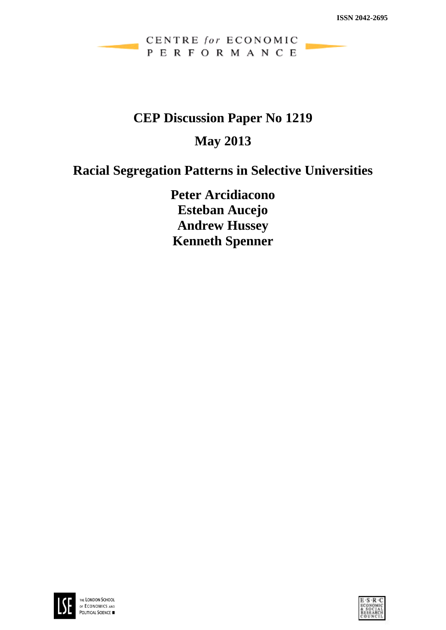## CENTRE for ECONOMIC PERFORMANCE

# **CEP Discussion Paper No 1219**

# **May 2013**

# **Racial Segregation Patterns in Selective Universities**

**Peter Arcidiacono Esteban Aucejo Andrew Hussey Kenneth Spenner**



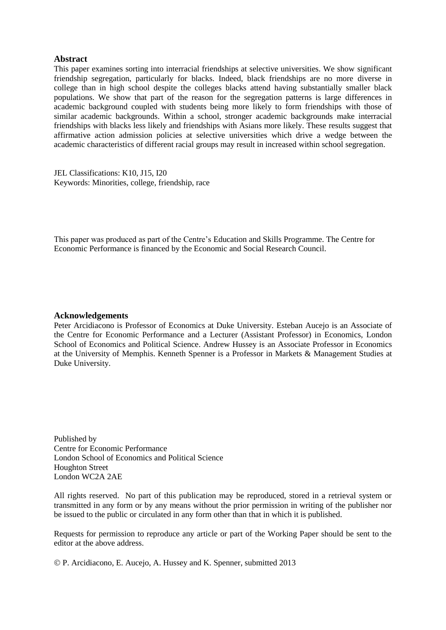#### **Abstract**

This paper examines sorting into interracial friendships at selective universities. We show significant friendship segregation, particularly for blacks. Indeed, black friendships are no more diverse in college than in high school despite the colleges blacks attend having substantially smaller black populations. We show that part of the reason for the segregation patterns is large differences in academic background coupled with students being more likely to form friendships with those of similar academic backgrounds. Within a school, stronger academic backgrounds make interracial friendships with blacks less likely and friendships with Asians more likely. These results suggest that affirmative action admission policies at selective universities which drive a wedge between the academic characteristics of different racial groups may result in increased within school segregation.

JEL Classifications: K10, J15, I20 Keywords: Minorities, college, friendship, race

This paper was produced as part of the Centre's Education and Skills Programme. The Centre for Economic Performance is financed by the Economic and Social Research Council.

#### **Acknowledgements**

Peter Arcidiacono is Professor of Economics at Duke University. Esteban Aucejo is an Associate of the Centre for Economic Performance and a Lecturer (Assistant Professor) in Economics, London School of Economics and Political Science. Andrew Hussey is an Associate Professor in Economics at the University of Memphis. Kenneth Spenner is a Professor in Markets & Management Studies at Duke University.

Published by Centre for Economic Performance London School of Economics and Political Science Houghton Street London WC2A 2AE

All rights reserved. No part of this publication may be reproduced, stored in a retrieval system or transmitted in any form or by any means without the prior permission in writing of the publisher nor be issued to the public or circulated in any form other than that in which it is published.

Requests for permission to reproduce any article or part of the Working Paper should be sent to the editor at the above address.

P. Arcidiacono, E. Aucejo, A. Hussey and K. Spenner, submitted 2013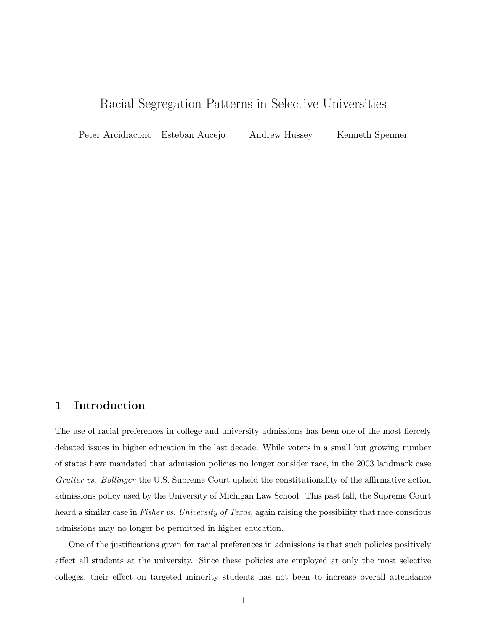# Racial Segregation Patterns in Selective Universities

Peter Arcidiacono Esteban Aucejo Andrew Hussey Kenneth Spenner

### 1 Introduction

The use of racial preferences in college and university admissions has been one of the most fiercely debated issues in higher education in the last decade. While voters in a small but growing number of states have mandated that admission policies no longer consider race, in the 2003 landmark case Grutter vs. Bollinger the U.S. Supreme Court upheld the constitutionality of the affirmative action admissions policy used by the University of Michigan Law School. This past fall, the Supreme Court heard a similar case in Fisher vs. University of Texas, again raising the possibility that race-conscious admissions may no longer be permitted in higher education.

One of the justifications given for racial preferences in admissions is that such policies positively affect all students at the university. Since these policies are employed at only the most selective colleges, their effect on targeted minority students has not been to increase overall attendance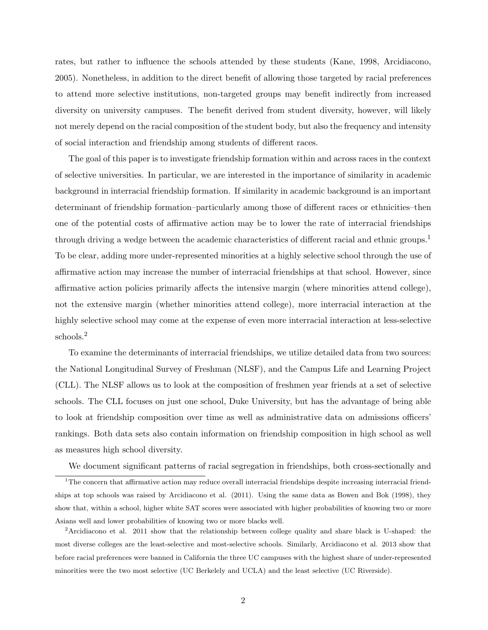rates, but rather to influence the schools attended by these students (Kane, 1998, Arcidiacono, 2005). Nonetheless, in addition to the direct benefit of allowing those targeted by racial preferences to attend more selective institutions, non-targeted groups may benefit indirectly from increased diversity on university campuses. The benefit derived from student diversity, however, will likely not merely depend on the racial composition of the student body, but also the frequency and intensity of social interaction and friendship among students of different races.

The goal of this paper is to investigate friendship formation within and across races in the context of selective universities. In particular, we are interested in the importance of similarity in academic background in interracial friendship formation. If similarity in academic background is an important determinant of friendship formation–particularly among those of different races or ethnicities–then one of the potential costs of affirmative action may be to lower the rate of interracial friendships through driving a wedge between the academic characteristics of different racial and ethnic groups.<sup>1</sup> To be clear, adding more under-represented minorities at a highly selective school through the use of affirmative action may increase the number of interracial friendships at that school. However, since affirmative action policies primarily affects the intensive margin (where minorities attend college), not the extensive margin (whether minorities attend college), more interracial interaction at the highly selective school may come at the expense of even more interracial interaction at less-selective schools.<sup>2</sup>

To examine the determinants of interracial friendships, we utilize detailed data from two sources: the National Longitudinal Survey of Freshman (NLSF), and the Campus Life and Learning Project (CLL). The NLSF allows us to look at the composition of freshmen year friends at a set of selective schools. The CLL focuses on just one school, Duke University, but has the advantage of being able to look at friendship composition over time as well as administrative data on admissions officers' rankings. Both data sets also contain information on friendship composition in high school as well as measures high school diversity.

We document significant patterns of racial segregation in friendships, both cross-sectionally and

<sup>&</sup>lt;sup>1</sup>The concern that affirmative action may reduce overall interracial friendships despite increasing interracial friendships at top schools was raised by Arcidiacono et al. (2011). Using the same data as Bowen and Bok (1998), they show that, within a school, higher white SAT scores were associated with higher probabilities of knowing two or more Asians well and lower probabilities of knowing two or more blacks well.

<sup>2</sup>Arcidiacono et al. 2011 show that the relationship between college quality and share black is U-shaped: the most diverse colleges are the least-selective and most-selective schools. Similarly, Arcidiacono et al. 2013 show that before racial preferences were banned in California the three UC campuses with the highest share of under-represented minorities were the two most selective (UC Berkelely and UCLA) and the least selective (UC Riverside).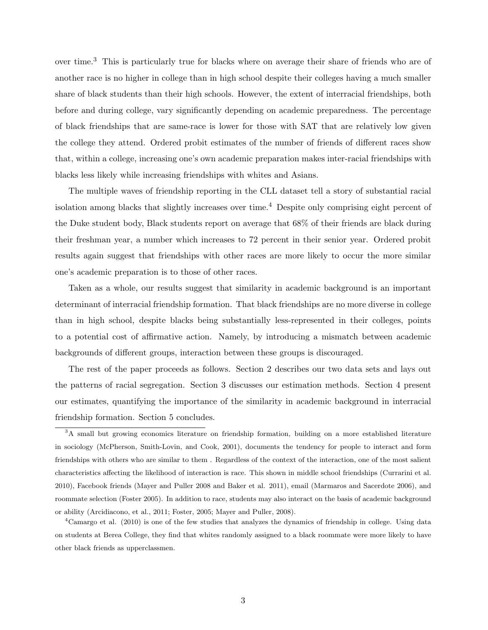over time.<sup>3</sup> This is particularly true for blacks where on average their share of friends who are of another race is no higher in college than in high school despite their colleges having a much smaller share of black students than their high schools. However, the extent of interracial friendships, both before and during college, vary significantly depending on academic preparedness. The percentage of black friendships that are same-race is lower for those with SAT that are relatively low given the college they attend. Ordered probit estimates of the number of friends of different races show that, within a college, increasing one's own academic preparation makes inter-racial friendships with blacks less likely while increasing friendships with whites and Asians.

The multiple waves of friendship reporting in the CLL dataset tell a story of substantial racial isolation among blacks that slightly increases over time.<sup>4</sup> Despite only comprising eight percent of the Duke student body, Black students report on average that 68% of their friends are black during their freshman year, a number which increases to 72 percent in their senior year. Ordered probit results again suggest that friendships with other races are more likely to occur the more similar one's academic preparation is to those of other races.

Taken as a whole, our results suggest that similarity in academic background is an important determinant of interracial friendship formation. That black friendships are no more diverse in college than in high school, despite blacks being substantially less-represented in their colleges, points to a potential cost of affirmative action. Namely, by introducing a mismatch between academic backgrounds of different groups, interaction between these groups is discouraged.

The rest of the paper proceeds as follows. Section 2 describes our two data sets and lays out the patterns of racial segregation. Section 3 discusses our estimation methods. Section 4 present our estimates, quantifying the importance of the similarity in academic background in interracial friendship formation. Section 5 concludes.

<sup>&</sup>lt;sup>3</sup>A small but growing economics literature on friendship formation, building on a more established literature in sociology (McPherson, Smith-Lovin, and Cook, 2001), documents the tendency for people to interact and form friendships with others who are similar to them . Regardless of the context of the interaction, one of the most salient characteristics affecting the likelihood of interaction is race. This shown in middle school friendships (Currarini et al. 2010), Facebook friends (Mayer and Puller 2008 and Baker et al. 2011), email (Marmaros and Sacerdote 2006), and roommate selection (Foster 2005). In addition to race, students may also interact on the basis of academic background or ability (Arcidiacono, et al., 2011; Foster, 2005; Mayer and Puller, 2008).

<sup>&</sup>lt;sup>4</sup>Camargo et al. (2010) is one of the few studies that analyzes the dynamics of friendship in college. Using data on students at Berea College, they find that whites randomly assigned to a black roommate were more likely to have other black friends as upperclassmen.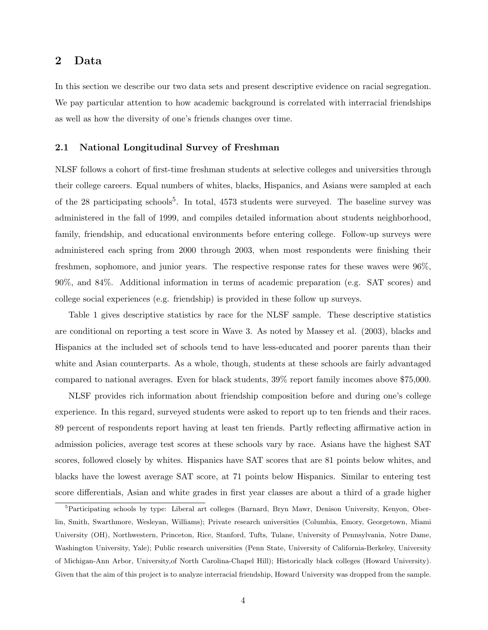### 2 Data

In this section we describe our two data sets and present descriptive evidence on racial segregation. We pay particular attention to how academic background is correlated with interracial friendships as well as how the diversity of one's friends changes over time.

#### 2.1 National Longitudinal Survey of Freshman

NLSF follows a cohort of first-time freshman students at selective colleges and universities through their college careers. Equal numbers of whites, blacks, Hispanics, and Asians were sampled at each of the 28 participating schools<sup>5</sup>. In total,  $4573$  students were surveyed. The baseline survey was administered in the fall of 1999, and compiles detailed information about students neighborhood, family, friendship, and educational environments before entering college. Follow-up surveys were administered each spring from 2000 through 2003, when most respondents were finishing their freshmen, sophomore, and junior years. The respective response rates for these waves were 96%, 90%, and 84%. Additional information in terms of academic preparation (e.g. SAT scores) and college social experiences (e.g. friendship) is provided in these follow up surveys.

Table 1 gives descriptive statistics by race for the NLSF sample. These descriptive statistics are conditional on reporting a test score in Wave 3. As noted by Massey et al. (2003), blacks and Hispanics at the included set of schools tend to have less-educated and poorer parents than their white and Asian counterparts. As a whole, though, students at these schools are fairly advantaged compared to national averages. Even for black students, 39% report family incomes above \$75,000.

NLSF provides rich information about friendship composition before and during one's college experience. In this regard, surveyed students were asked to report up to ten friends and their races. 89 percent of respondents report having at least ten friends. Partly reflecting affirmative action in admission policies, average test scores at these schools vary by race. Asians have the highest SAT scores, followed closely by whites. Hispanics have SAT scores that are 81 points below whites, and blacks have the lowest average SAT score, at 71 points below Hispanics. Similar to entering test score differentials, Asian and white grades in first year classes are about a third of a grade higher

<sup>&</sup>lt;sup>5</sup>Participating schools by type: Liberal art colleges (Barnard, Bryn Mawr, Denison University, Kenyon, Oberlin, Smith, Swarthmore, Wesleyan, Williams); Private research universities (Columbia, Emory, Georgetown, Miami University (OH), Northwestern, Princeton, Rice, Stanford, Tufts, Tulane, University of Pennsylvania, Notre Dame, Washington University, Yale); Public research universities (Penn State, University of California-Berkeley, University of Michigan-Ann Arbor, University,of North Carolina-Chapel Hill); Historically black colleges (Howard University). Given that the aim of this project is to analyze interracial friendship, Howard University was dropped from the sample.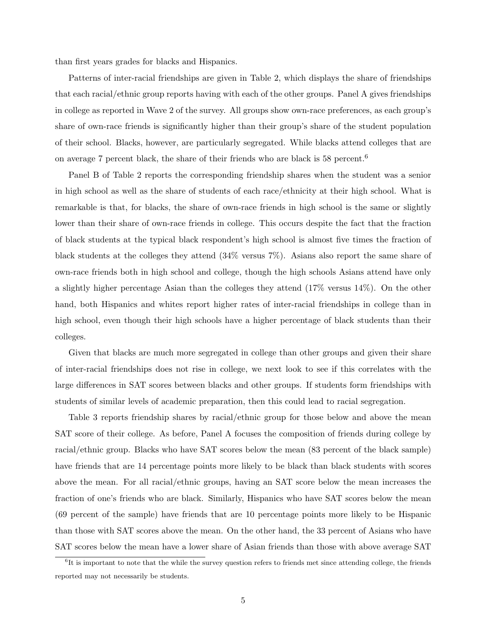than first years grades for blacks and Hispanics.

Patterns of inter-racial friendships are given in Table 2, which displays the share of friendships that each racial/ethnic group reports having with each of the other groups. Panel A gives friendships in college as reported in Wave 2 of the survey. All groups show own-race preferences, as each group's share of own-race friends is significantly higher than their group's share of the student population of their school. Blacks, however, are particularly segregated. While blacks attend colleges that are on average 7 percent black, the share of their friends who are black is 58 percent.<sup>6</sup>

Panel B of Table 2 reports the corresponding friendship shares when the student was a senior in high school as well as the share of students of each race/ethnicity at their high school. What is remarkable is that, for blacks, the share of own-race friends in high school is the same or slightly lower than their share of own-race friends in college. This occurs despite the fact that the fraction of black students at the typical black respondent's high school is almost five times the fraction of black students at the colleges they attend (34% versus 7%). Asians also report the same share of own-race friends both in high school and college, though the high schools Asians attend have only a slightly higher percentage Asian than the colleges they attend (17% versus 14%). On the other hand, both Hispanics and whites report higher rates of inter-racial friendships in college than in high school, even though their high schools have a higher percentage of black students than their colleges.

Given that blacks are much more segregated in college than other groups and given their share of inter-racial friendships does not rise in college, we next look to see if this correlates with the large differences in SAT scores between blacks and other groups. If students form friendships with students of similar levels of academic preparation, then this could lead to racial segregation.

Table 3 reports friendship shares by racial/ethnic group for those below and above the mean SAT score of their college. As before, Panel A focuses the composition of friends during college by racial/ethnic group. Blacks who have SAT scores below the mean (83 percent of the black sample) have friends that are 14 percentage points more likely to be black than black students with scores above the mean. For all racial/ethnic groups, having an SAT score below the mean increases the fraction of one's friends who are black. Similarly, Hispanics who have SAT scores below the mean (69 percent of the sample) have friends that are 10 percentage points more likely to be Hispanic than those with SAT scores above the mean. On the other hand, the 33 percent of Asians who have SAT scores below the mean have a lower share of Asian friends than those with above average SAT

<sup>&</sup>lt;sup>6</sup>It is important to note that the while the survey question refers to friends met since attending college, the friends reported may not necessarily be students.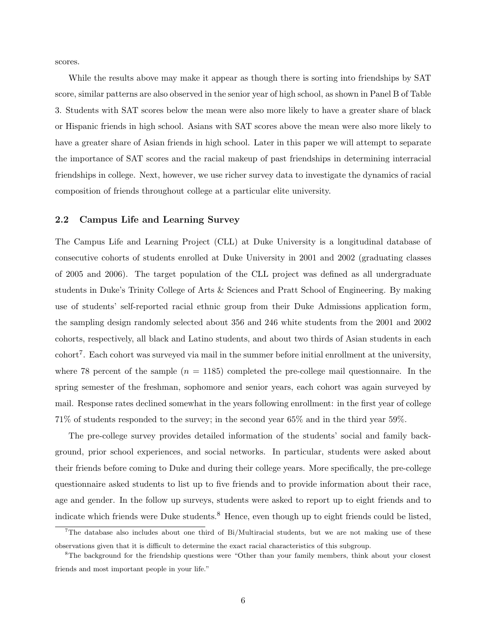scores.

While the results above may make it appear as though there is sorting into friendships by SAT score, similar patterns are also observed in the senior year of high school, as shown in Panel B of Table 3. Students with SAT scores below the mean were also more likely to have a greater share of black or Hispanic friends in high school. Asians with SAT scores above the mean were also more likely to have a greater share of Asian friends in high school. Later in this paper we will attempt to separate the importance of SAT scores and the racial makeup of past friendships in determining interracial friendships in college. Next, however, we use richer survey data to investigate the dynamics of racial composition of friends throughout college at a particular elite university.

#### 2.2 Campus Life and Learning Survey

The Campus Life and Learning Project (CLL) at Duke University is a longitudinal database of consecutive cohorts of students enrolled at Duke University in 2001 and 2002 (graduating classes of 2005 and 2006). The target population of the CLL project was defined as all undergraduate students in Duke's Trinity College of Arts & Sciences and Pratt School of Engineering. By making use of students' self-reported racial ethnic group from their Duke Admissions application form, the sampling design randomly selected about 356 and 246 white students from the 2001 and 2002 cohorts, respectively, all black and Latino students, and about two thirds of Asian students in each  $\text{cohort}^7$ . Each cohort was surveyed via mail in the summer before initial enrollment at the university, where 78 percent of the sample  $(n = 1185)$  completed the pre-college mail questionnaire. In the spring semester of the freshman, sophomore and senior years, each cohort was again surveyed by mail. Response rates declined somewhat in the years following enrollment: in the first year of college 71% of students responded to the survey; in the second year 65% and in the third year 59%.

The pre-college survey provides detailed information of the students' social and family background, prior school experiences, and social networks. In particular, students were asked about their friends before coming to Duke and during their college years. More specifically, the pre-college questionnaire asked students to list up to five friends and to provide information about their race, age and gender. In the follow up surveys, students were asked to report up to eight friends and to indicate which friends were Duke students.<sup>8</sup> Hence, even though up to eight friends could be listed,

<sup>&</sup>lt;sup>7</sup>The database also includes about one third of Bi/Multiracial students, but we are not making use of these observations given that it is difficult to determine the exact racial characteristics of this subgroup.

<sup>&</sup>lt;sup>8</sup>The background for the friendship questions were "Other than your family members, think about your closest friends and most important people in your life."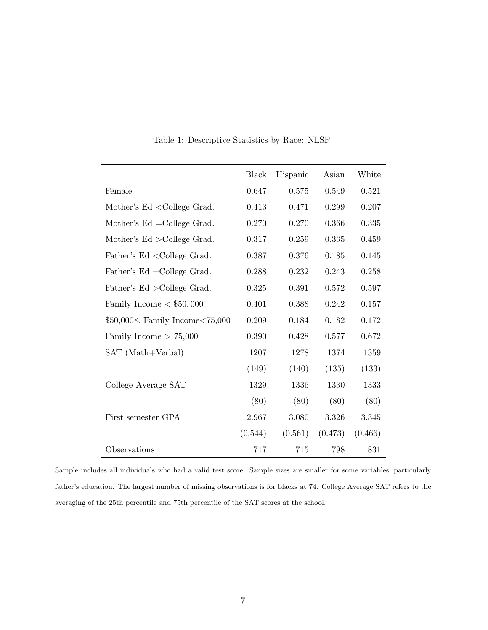|                                                                                                         | <b>Black</b> | Hispanic | Asian   | White   |
|---------------------------------------------------------------------------------------------------------|--------------|----------|---------|---------|
| Female                                                                                                  | 0.647        | 0.575    | 0.549   | 0.521   |
| Mother's Ed < College Grad.                                                                             | 0.413        | 0.471    | 0.299   | 0.207   |
| Mother's $Ed = College Grad.$                                                                           | 0.270        | 0.270    | 0.366   | 0.335   |
| Mother's $Ed$ > College Grad.                                                                           | 0.317        | 0.259    | 0.335   | 0.459   |
| Father's Ed <college grad.<="" td=""><td>0.387</td><td>0.376</td><td>0.185</td><td>0.145</td></college> | 0.387        | 0.376    | 0.185   | 0.145   |
| Father's Ed = College Grad.                                                                             | 0.288        | 0.232    | 0.243   | 0.258   |
| Father's Ed > College Grad.                                                                             | 0.325        | 0.391    | 0.572   | 0.597   |
| Family Income $<$ \$50,000                                                                              | 0.401        | 0.388    | 0.242   | 0.157   |
| $$50,000 \le$ Family Income < 75,000                                                                    | 0.209        | 0.184    | 0.182   | 0.172   |
| Family Income $> 75,000$                                                                                | 0.390        | 0.428    | 0.577   | 0.672   |
| SAT (Math+Verbal)                                                                                       | 1207         | 1278     | 1374    | 1359    |
|                                                                                                         | (149)        | (140)    | (135)   | (133)   |
| College Average SAT                                                                                     | 1329         | 1336     | 1330    | 1333    |
|                                                                                                         | (80)         | (80)     | (80)    | (80)    |
| First semester GPA                                                                                      | 2.967        | 3.080    | 3.326   | 3.345   |
|                                                                                                         | (0.544)      | (0.561)  | (0.473) | (0.466) |
| Observations                                                                                            | 717          | 715      | 798     | 831     |

Table 1: Descriptive Statistics by Race: NLSF

Sample includes all individuals who had a valid test score. Sample sizes are smaller for some variables, particularly father's education. The largest number of missing observations is for blacks at 74. College Average SAT refers to the averaging of the 25th percentile and 75th percentile of the SAT scores at the school.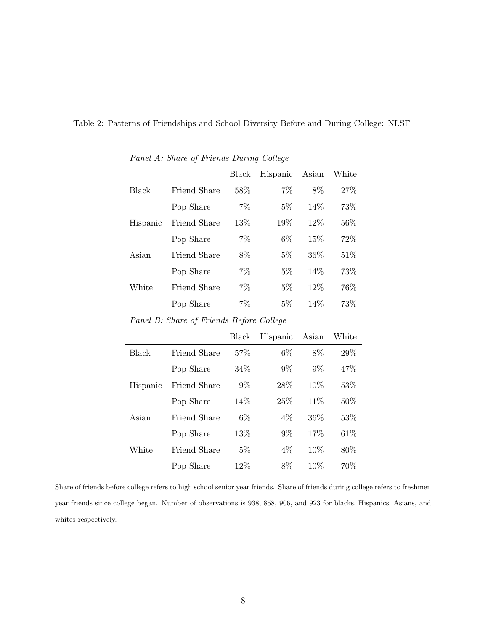|          | Panel A: Share of Friends During College |       |          |        |        |
|----------|------------------------------------------|-------|----------|--------|--------|
|          |                                          | Black | Hispanic | Asian  | White  |
| Black    | Friend Share                             | 58%   | 7%       | 8%     | 27%    |
|          | Pop Share                                | 7%    | $5\%$    | 14%    | 73%    |
| Hispanic | Friend Share                             | 13\%  | 19%      | 12%    | $56\%$ |
|          | Pop Share                                | 7%    | 6\%      | $15\%$ | 72%    |
| Asian    | Friend Share                             | 8%    | $5\%$    | $36\%$ | 51\%   |
|          | Pop Share                                | $7\%$ | $5\%$    | 14%    | 73%    |
| White    | Friend Share                             | $7\%$ | $5\%$    | $12\%$ | $76\%$ |
|          | Pop Share                                | $7\%$ | $5\%$    | 14%    | 73%    |

Table 2: Patterns of Friendships and School Diversity Before and During College: NLSF

|  |  | Panel B: Share of Friends Before College |  |
|--|--|------------------------------------------|--|
|  |  |                                          |  |

|          |              | Black  | Hispanic | Asian  | White  |
|----------|--------------|--------|----------|--------|--------|
| Black    | Friend Share | 57\%   | $6\%$    | 8%     | 29\%   |
|          | Pop Share    | 34\%   | 9%       | $9\%$  | 47\%   |
| Hispanic | Friend Share | 9%     | 28%      | 10%    | 53%    |
|          | Pop Share    | 14\%   | 25%      | 11%    | 50%    |
| Asian    | Friend Share | $6\%$  | $4\%$    | 36%    | 53\%   |
|          | Pop Share    | 13\%   | $9\%$    | 17%    | 61\%   |
| White    | Friend Share | $5\%$  | 4%       | 10%    | $80\%$ |
|          | Pop Share    | $12\%$ | 8%       | $10\%$ | 70\%   |

Share of friends before college refers to high school senior year friends. Share of friends during college refers to freshmen year friends since college began. Number of observations is 938, 858, 906, and 923 for blacks, Hispanics, Asians, and whites respectively.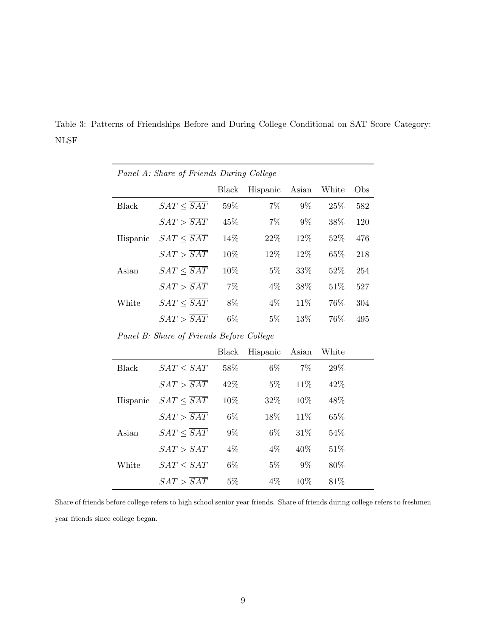|              | Panel A: Share of Friends During College |              |          |       |       |     |
|--------------|------------------------------------------|--------------|----------|-------|-------|-----|
|              |                                          | <b>Black</b> | Hispanic | Asian | White | Obs |
| Black        | $SAT \leq \overline{SAT}$                | $59\%$       | $7\%$    | $9\%$ | 25%   | 582 |
|              | $SAT > \overline{SAT}$                   | 45%          | $7\%$    | $9\%$ | 38%   | 120 |
| Hispanic     | $SAT \leq \overline{SAT}$                | 14%          | 22%      | 12%   | 52%   | 476 |
|              | $SAT > \overline{SAT}$                   | 10%          | 12%      | 12%   | 65%   | 218 |
| Asian        | $SAT \leq \overline{SAT}$                | 10%          | $5\%$    | 33%   | 52%   | 254 |
|              | $SAT > \overline{SAT}$                   | $7\%$        | $4\%$    | 38\%  | 51\%  | 527 |
| White        | $SAT \leq \overline{SAT}$                | 8%           | $4\%$    | 11%   | 76%   | 304 |
|              | $SAT > \overline{SAT}$                   | $6\%$        | $5\%$    | 13%   | 76%   | 495 |
|              | Panel B: Share of Friends Before College |              |          |       |       |     |
|              |                                          | <b>Black</b> | Hispanic | Asian | White |     |
| <b>Black</b> | $SAT \leq \overline{SAT}$                | 58\%         | $6\%$    | $7\%$ | 29%   |     |
|              | $SAT > \overline{SAT}$                   | 42%          | $5\%$    | 11%   | 42\%  |     |
| Hispanic     | $SAT \leq \overline{SAT}$                | 10%          | 32%      | 10%   | 48\%  |     |
|              | $SAT > \overline{SAT}$                   | $6\%$        | 18%      | 11%   | 65%   |     |
| Asian        | $SAT \leq \overline{SAT}$                | $9\%$        | $6\%$    | 31\%  | 54\%  |     |
|              | $SAT > \overline{SAT}$                   | $4\%$        | $4\%$    | 40%   | 51%   |     |

Table 3: Patterns of Friendships Before and During College Conditional on SAT Score Category: NLSF

Share of friends before college refers to high school senior year friends. Share of friends during college refers to freshmen year friends since college began.

 $SAT > \overline{SAT} \qquad 5\% \qquad \quad 4\% \qquad 10\% \qquad 81\%$ 

 $\text{White} \qquad SAT \leq \overline{SAT} \qquad 6\% \qquad \quad 5\% \qquad 9\% \qquad 80\%$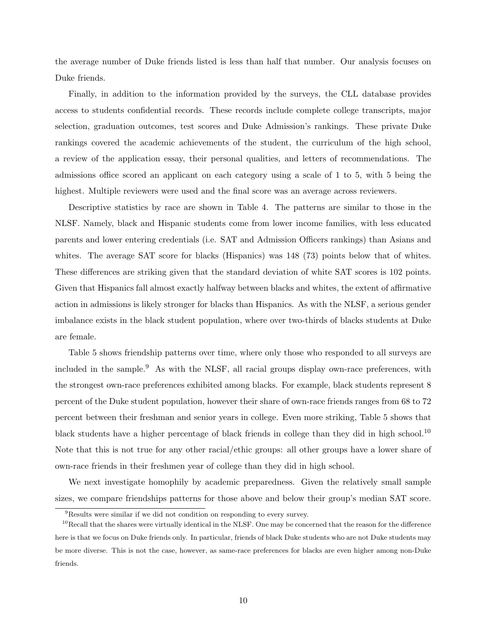the average number of Duke friends listed is less than half that number. Our analysis focuses on Duke friends.

Finally, in addition to the information provided by the surveys, the CLL database provides access to students confidential records. These records include complete college transcripts, major selection, graduation outcomes, test scores and Duke Admission's rankings. These private Duke rankings covered the academic achievements of the student, the curriculum of the high school, a review of the application essay, their personal qualities, and letters of recommendations. The admissions office scored an applicant on each category using a scale of 1 to 5, with 5 being the highest. Multiple reviewers were used and the final score was an average across reviewers.

Descriptive statistics by race are shown in Table 4. The patterns are similar to those in the NLSF. Namely, black and Hispanic students come from lower income families, with less educated parents and lower entering credentials (i.e. SAT and Admission Officers rankings) than Asians and whites. The average SAT score for blacks (Hispanics) was 148 (73) points below that of whites. These differences are striking given that the standard deviation of white SAT scores is 102 points. Given that Hispanics fall almost exactly halfway between blacks and whites, the extent of affirmative action in admissions is likely stronger for blacks than Hispanics. As with the NLSF, a serious gender imbalance exists in the black student population, where over two-thirds of blacks students at Duke are female.

Table 5 shows friendship patterns over time, where only those who responded to all surveys are included in the sample.<sup>9</sup> As with the NLSF, all racial groups display own-race preferences, with the strongest own-race preferences exhibited among blacks. For example, black students represent 8 percent of the Duke student population, however their share of own-race friends ranges from 68 to 72 percent between their freshman and senior years in college. Even more striking, Table 5 shows that black students have a higher percentage of black friends in college than they did in high school.<sup>10</sup> Note that this is not true for any other racial/ethic groups: all other groups have a lower share of own-race friends in their freshmen year of college than they did in high school.

We next investigate homophily by academic preparedness. Given the relatively small sample sizes, we compare friendships patterns for those above and below their group's median SAT score.

<sup>&</sup>lt;sup>9</sup>Results were similar if we did not condition on responding to every survey.

 $10$ Recall that the shares were virtually identical in the NLSF. One may be concerned that the reason for the difference here is that we focus on Duke friends only. In particular, friends of black Duke students who are not Duke students may be more diverse. This is not the case, however, as same-race preferences for blacks are even higher among non-Duke friends.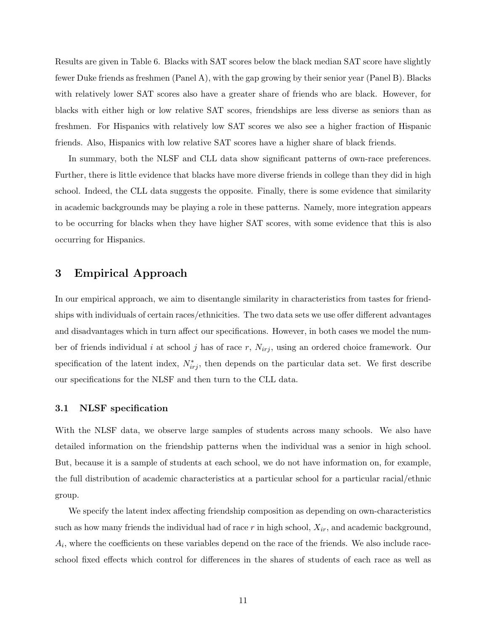Results are given in Table 6. Blacks with SAT scores below the black median SAT score have slightly fewer Duke friends as freshmen (Panel A), with the gap growing by their senior year (Panel B). Blacks with relatively lower SAT scores also have a greater share of friends who are black. However, for blacks with either high or low relative SAT scores, friendships are less diverse as seniors than as freshmen. For Hispanics with relatively low SAT scores we also see a higher fraction of Hispanic friends. Also, Hispanics with low relative SAT scores have a higher share of black friends.

In summary, both the NLSF and CLL data show significant patterns of own-race preferences. Further, there is little evidence that blacks have more diverse friends in college than they did in high school. Indeed, the CLL data suggests the opposite. Finally, there is some evidence that similarity in academic backgrounds may be playing a role in these patterns. Namely, more integration appears to be occurring for blacks when they have higher SAT scores, with some evidence that this is also occurring for Hispanics.

## 3 Empirical Approach

In our empirical approach, we aim to disentangle similarity in characteristics from tastes for friendships with individuals of certain races/ethnicities. The two data sets we use offer different advantages and disadvantages which in turn affect our specifications. However, in both cases we model the number of friends individual i at school j has of race r,  $N_{irj}$ , using an ordered choice framework. Our specification of the latent index,  $N_{irj}^*$ , then depends on the particular data set. We first describe our specifications for the NLSF and then turn to the CLL data.

#### 3.1 NLSF specification

With the NLSF data, we observe large samples of students across many schools. We also have detailed information on the friendship patterns when the individual was a senior in high school. But, because it is a sample of students at each school, we do not have information on, for example, the full distribution of academic characteristics at a particular school for a particular racial/ethnic group.

We specify the latent index affecting friendship composition as depending on own-characteristics such as how many friends the individual had of race  $r$  in high school,  $X_{ir}$ , and academic background,  $A_i$ , where the coefficients on these variables depend on the race of the friends. We also include raceschool fixed effects which control for differences in the shares of students of each race as well as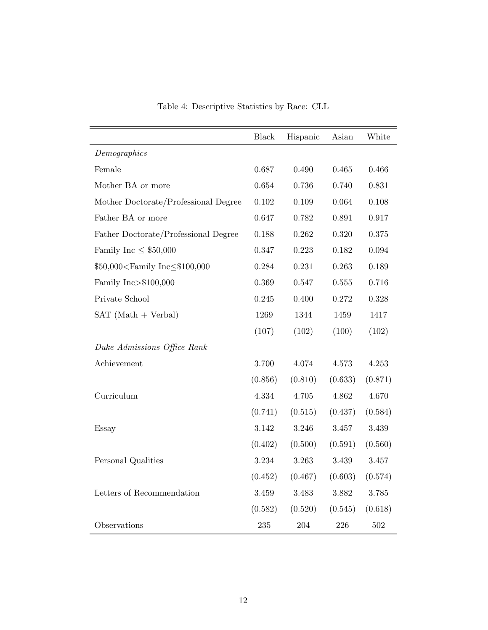|                                                                                                            | <b>Black</b> | Hispanic | Asian     | White     |
|------------------------------------------------------------------------------------------------------------|--------------|----------|-----------|-----------|
| Demographics                                                                                               |              |          |           |           |
| Female                                                                                                     | 0.687        | 0.490    | 0.465     | 0.466     |
| Mother BA or more                                                                                          | 0.654        | 0.736    | 0.740     | 0.831     |
| Mother Doctorate/Professional Degree                                                                       | 0.102        | 0.109    | 0.064     | $0.108\,$ |
| Father BA or more                                                                                          | 0.647        | 0.782    | 0.891     | 0.917     |
| Father Doctorate/Professional Degree                                                                       | 0.188        | 0.262    | 0.320     | 0.375     |
| Family Inc $\leq$ \$50,000                                                                                 | 0.347        | 0.223    | 0.182     | 0.094     |
| \$50,000 <family inc≤\$100,000<="" td=""><td>0.284</td><td>0.231</td><td>0.263</td><td>0.189</td></family> | 0.284        | 0.231    | 0.263     | 0.189     |
| Family Inc>\$100,000                                                                                       | 0.369        | 0.547    | $0.555\,$ | 0.716     |
| Private School                                                                                             | 0.245        | 0.400    | 0.272     | 0.328     |
| $SAT (Math + Verbal)$                                                                                      | 1269         | 1344     | 1459      | 1417      |
|                                                                                                            | (107)        | (102)    | (100)     | (102)     |
| Duke Admissions Office Rank                                                                                |              |          |           |           |
| Achievement                                                                                                | 3.700        | 4.074    | 4.573     | 4.253     |
|                                                                                                            | (0.856)      | (0.810)  | (0.633)   | (0.871)   |
| Curriculum                                                                                                 | 4.334        | 4.705    | 4.862     | $4.670\,$ |
|                                                                                                            | (0.741)      | (0.515)  | (0.437)   | (0.584)   |
| Essay                                                                                                      | 3.142        | 3.246    | 3.457     | $3.439\,$ |
|                                                                                                            | (0.402)      | (0.500)  | (0.591)   | (0.560)   |
| Personal Qualities                                                                                         | $3.234\,$    | 3.263    | $3.439\,$ | 3.457     |
|                                                                                                            | (0.452)      | (0.467)  | (0.603)   | (0.574)   |
| Letters of Recommendation                                                                                  | 3.459        | 3.483    | 3.882     | $3.785\,$ |
|                                                                                                            | (0.582)      | (0.520)  | (0.545)   | (0.618)   |
| Observations                                                                                               | 235          | 204      | 226       | 502       |

Table 4: Descriptive Statistics by Race: CLL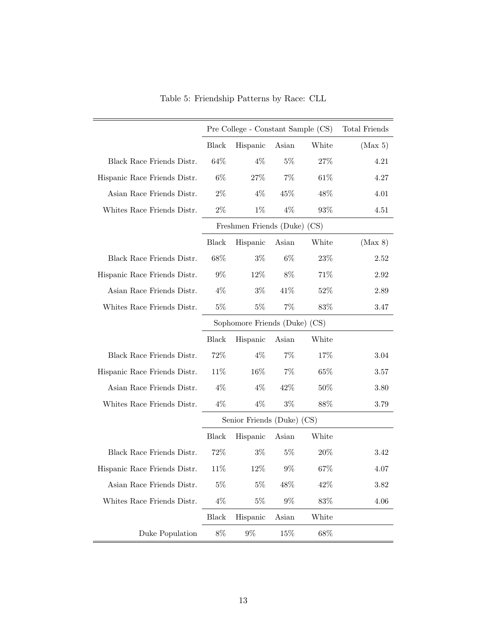|                              |              | Pre College - Constant Sample (CS) |       | Total Friends |         |
|------------------------------|--------------|------------------------------------|-------|---------------|---------|
|                              | <b>Black</b> | Hispanic                           | Asian | White         | (Max 5) |
| Black Race Friends Distr.    | 64%          | $4\%$                              | $5\%$ | 27%           | 4.21    |
| Hispanic Race Friends Distr. | $6\%$        | 27%                                | $7\%$ | 61%           | 4.27    |
| Asian Race Friends Distr.    | $2\%$        | $4\%$                              | 45%   | 48%           | 4.01    |
| Whites Race Friends Distr.   | $2\%$        | $1\%$                              | $4\%$ | 93%           | 4.51    |
|                              |              | Freshmen Friends (Duke) (CS)       |       |               |         |
|                              | <b>Black</b> | Hispanic                           | Asian | White         | (Max 8) |
| Black Race Friends Distr.    | 68\%         | $3\%$                              | $6\%$ | 23%           | 2.52    |
| Hispanic Race Friends Distr. | $9\%$        | $12\%$                             | 8%    | 71%           | 2.92    |
| Asian Race Friends Distr.    | $4\%$        | $3\%$                              | 41%   | 52%           | 2.89    |
| Whites Race Friends Distr.   | $5\%$        | $5\%$                              | $7\%$ | $83\%$        | 3.47    |
|                              |              | Sophomore Friends (Duke) (CS)      |       |               |         |
|                              | <b>Black</b> | Hispanic                           | Asian | White         |         |
| Black Race Friends Distr.    | 72%          | $4\%$                              | $7\%$ | 17%           | 3.04    |
| Hispanic Race Friends Distr. | 11\%         | 16\%                               | $7\%$ | 65%           | 3.57    |
| Asian Race Friends Distr.    | $4\%$        | $4\%$                              | 42%   | 50%           | 3.80    |
| Whites Race Friends Distr.   | $4\%$        | $4\%$                              | $3\%$ | 88%           | 3.79    |
|                              |              | Senior Friends (Duke) (CS)         |       |               |         |
|                              | Black        | Hispanic                           | Asian | White         |         |
| Black Race Friends Distr.    | 72%          | $3\%$                              | $5\%$ | $20\%$        | 3.42    |
| Hispanic Race Friends Distr. | 11%          | 12%                                | $9\%$ | 67%           | 4.07    |
| Asian Race Friends Distr.    | $5\%$        | $5\%$                              | 48%   | 42%           | 3.82    |
| Whites Race Friends Distr.   | $4\%$        | $5\%$                              | $9\%$ | $83\%$        | 4.06    |
|                              | Black        | Hispanic                           | Asian | White         |         |
| Duke Population              | $8\%$        | $9\%$                              | 15%   | 68%           |         |

Table 5: Friendship Patterns by Race: CLL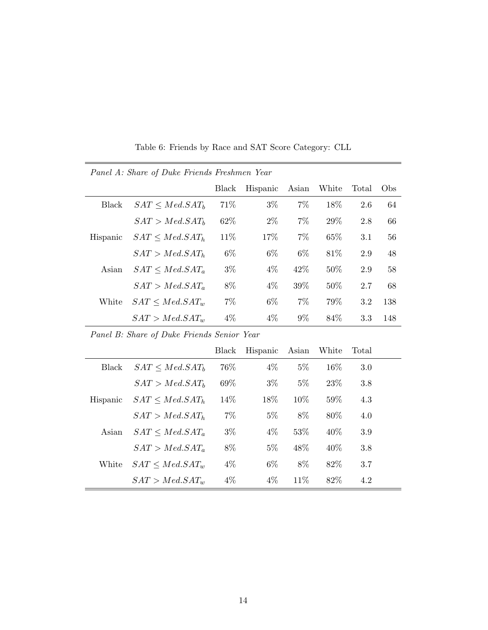| Panel A: Share of Duke Friends Freshmen Year |                            |       |          |       |        |       |     |
|----------------------------------------------|----------------------------|-------|----------|-------|--------|-------|-----|
|                                              |                            | Black | Hispanic | Asian | White  | Total | Obs |
| <b>Black</b>                                 | SAT < Med.SAT <sub>b</sub> | 71\%  | $3\%$    | $7\%$ | 18\%   | 2.6   | 64  |
|                                              | SAT > Med.SAT <sub>b</sub> | 62\%  | $2\%$    | $7\%$ | 29\%   | 2.8   | 66  |
| Hispanic                                     | $SAT < Med.SAT_h$          | 11\%  | 17%      | $7\%$ | 65%    | 3.1   | 56  |
|                                              | $SAT > Med.SAT_h$          | $6\%$ | $6\%$    | 6\%   | 81\%   | 2.9   | 48  |
| Asian                                        | $SAT < Med.SAT_a$          | $3\%$ | $4\%$    | 42\%  | $50\%$ | 2.9   | 58  |
|                                              | $SAT > Med.SAT_a$          | 8%    | $4\%$    | 39%   | $50\%$ | 2.7   | 68  |
| White                                        | $SAT < Med.SAT_w$          | $7\%$ | $6\%$    | $7\%$ | 79%    | 3.2   | 138 |
|                                              | $SAT > Med.SAT_w$          | $4\%$ | $4\%$    | $9\%$ | 84\%   | 3.3   | 148 |

Table 6: Friends by Race and SAT Score Category: CLL

 $\equiv$ 

|          |                            | Black | Hispanic | Asian  | White  | Total |  |
|----------|----------------------------|-------|----------|--------|--------|-------|--|
| Black    | SAT < Med.SAT <sub>b</sub> | 76%   | $4\%$    | $5\%$  | $16\%$ | 3.0   |  |
|          | SAT > Med.SAT <sub>b</sub> | 69%   | $3\%$    | $5\%$  | 23\%   | 3.8   |  |
| Hispanic | SAT < Med.SAT <sub>h</sub> | 14\%  | 18%      | $10\%$ | 59%    | 4.3   |  |
|          | $SAT > Med.SAT_h$          | $7\%$ | $5\%$    | 8%     | 80\%   | 4.0   |  |
| Asian    | $SAT < Med.SAT_a$          | $3\%$ | $4\%$    | 53%    | 40\%   | 3.9   |  |
|          | $SAT > Med.SAT_a$          | 8%    | $5\%$    | 48\%   | 40\%   | 3.8   |  |
| White    | $SAT \leq Med.SAT_w$       | $4\%$ | $6\%$    | 8\%    | 82\%   | 3.7   |  |
|          | $SAT > Med.SAT_w$          | $4\%$ | $4\%$    | $11\%$ | 82\%   | 4.2   |  |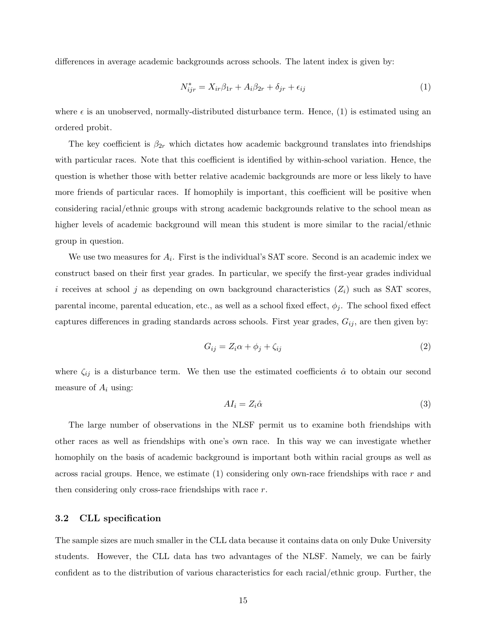differences in average academic backgrounds across schools. The latent index is given by:

$$
N_{ijr}^* = X_{ir}\beta_{1r} + A_i\beta_{2r} + \delta_{jr} + \epsilon_{ij}
$$
\n<sup>(1)</sup>

where  $\epsilon$  is an unobserved, normally-distributed disturbance term. Hence, (1) is estimated using an ordered probit.

The key coefficient is  $\beta_{2r}$  which dictates how academic background translates into friendships with particular races. Note that this coefficient is identified by within-school variation. Hence, the question is whether those with better relative academic backgrounds are more or less likely to have more friends of particular races. If homophily is important, this coefficient will be positive when considering racial/ethnic groups with strong academic backgrounds relative to the school mean as higher levels of academic background will mean this student is more similar to the racial/ethnic group in question.

We use two measures for  $A_i$ . First is the individual's SAT score. Second is an academic index we construct based on their first year grades. In particular, we specify the first-year grades individual i receives at school j as depending on own background characteristics  $(Z_i)$  such as SAT scores, parental income, parental education, etc., as well as a school fixed effect,  $\phi_i$ . The school fixed effect captures differences in grading standards across schools. First year grades,  $G_{ij}$ , are then given by:

$$
G_{ij} = Z_i \alpha + \phi_j + \zeta_{ij} \tag{2}
$$

where  $\zeta_{ij}$  is a disturbance term. We then use the estimated coefficients  $\hat{\alpha}$  to obtain our second measure of  $A_i$  using:

$$
AI_i = Z_i \hat{\alpha} \tag{3}
$$

The large number of observations in the NLSF permit us to examine both friendships with other races as well as friendships with one's own race. In this way we can investigate whether homophily on the basis of academic background is important both within racial groups as well as across racial groups. Hence, we estimate  $(1)$  considering only own-race friendships with race r and then considering only cross-race friendships with race r.

#### 3.2 CLL specification

The sample sizes are much smaller in the CLL data because it contains data on only Duke University students. However, the CLL data has two advantages of the NLSF. Namely, we can be fairly confident as to the distribution of various characteristics for each racial/ethnic group. Further, the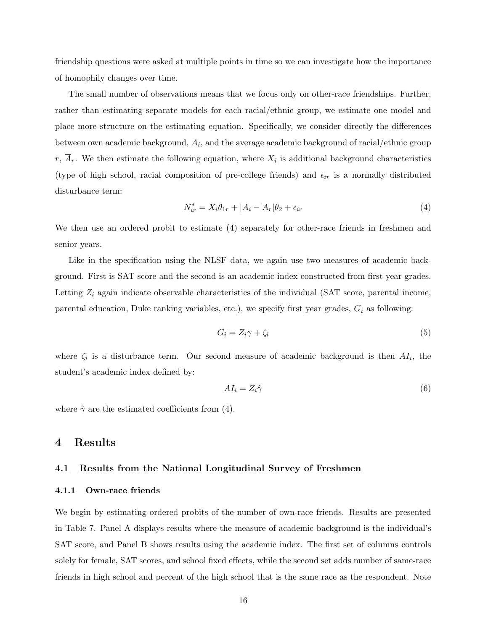friendship questions were asked at multiple points in time so we can investigate how the importance of homophily changes over time.

The small number of observations means that we focus only on other-race friendships. Further, rather than estimating separate models for each racial/ethnic group, we estimate one model and place more structure on the estimating equation. Specifically, we consider directly the differences between own academic background,  $A_i$ , and the average academic background of racial/ethnic group r,  $A_r$ . We then estimate the following equation, where  $X_i$  is additional background characteristics (type of high school, racial composition of pre-college friends) and  $\epsilon_{ir}$  is a normally distributed disturbance term:

$$
N_{ir}^* = X_i \theta_{1r} + |A_i - \overline{A}_r| \theta_2 + \epsilon_{ir}
$$
\n<sup>(4)</sup>

We then use an ordered probit to estimate (4) separately for other-race friends in freshmen and senior years.

Like in the specification using the NLSF data, we again use two measures of academic background. First is SAT score and the second is an academic index constructed from first year grades. Letting  $Z_i$  again indicate observable characteristics of the individual (SAT score, parental income, parental education, Duke ranking variables, etc.), we specify first year grades,  $G_i$  as following:

$$
G_i = Z_i \gamma + \zeta_i \tag{5}
$$

where  $\zeta_i$  is a disturbance term. Our second measure of academic background is then  $AI_i$ , the student's academic index defined by:

$$
AI_i = Z_i \hat{\gamma} \tag{6}
$$

where  $\hat{\gamma}$  are the estimated coefficients from (4).

### 4 Results

#### 4.1 Results from the National Longitudinal Survey of Freshmen

#### 4.1.1 Own-race friends

We begin by estimating ordered probits of the number of own-race friends. Results are presented in Table 7. Panel A displays results where the measure of academic background is the individual's SAT score, and Panel B shows results using the academic index. The first set of columns controls solely for female, SAT scores, and school fixed effects, while the second set adds number of same-race friends in high school and percent of the high school that is the same race as the respondent. Note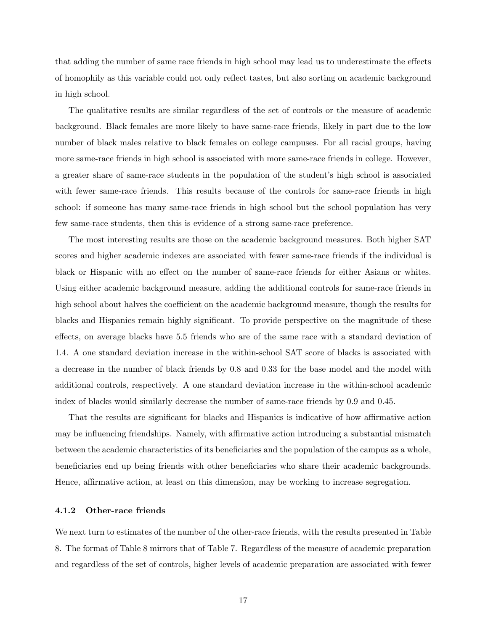that adding the number of same race friends in high school may lead us to underestimate the effects of homophily as this variable could not only reflect tastes, but also sorting on academic background in high school.

The qualitative results are similar regardless of the set of controls or the measure of academic background. Black females are more likely to have same-race friends, likely in part due to the low number of black males relative to black females on college campuses. For all racial groups, having more same-race friends in high school is associated with more same-race friends in college. However, a greater share of same-race students in the population of the student's high school is associated with fewer same-race friends. This results because of the controls for same-race friends in high school: if someone has many same-race friends in high school but the school population has very few same-race students, then this is evidence of a strong same-race preference.

The most interesting results are those on the academic background measures. Both higher SAT scores and higher academic indexes are associated with fewer same-race friends if the individual is black or Hispanic with no effect on the number of same-race friends for either Asians or whites. Using either academic background measure, adding the additional controls for same-race friends in high school about halves the coefficient on the academic background measure, though the results for blacks and Hispanics remain highly significant. To provide perspective on the magnitude of these effects, on average blacks have 5.5 friends who are of the same race with a standard deviation of 1.4. A one standard deviation increase in the within-school SAT score of blacks is associated with a decrease in the number of black friends by 0.8 and 0.33 for the base model and the model with additional controls, respectively. A one standard deviation increase in the within-school academic index of blacks would similarly decrease the number of same-race friends by 0.9 and 0.45.

That the results are significant for blacks and Hispanics is indicative of how affirmative action may be influencing friendships. Namely, with affirmative action introducing a substantial mismatch between the academic characteristics of its beneficiaries and the population of the campus as a whole, beneficiaries end up being friends with other beneficiaries who share their academic backgrounds. Hence, affirmative action, at least on this dimension, may be working to increase segregation.

#### 4.1.2 Other-race friends

We next turn to estimates of the number of the other-race friends, with the results presented in Table 8. The format of Table 8 mirrors that of Table 7. Regardless of the measure of academic preparation and regardless of the set of controls, higher levels of academic preparation are associated with fewer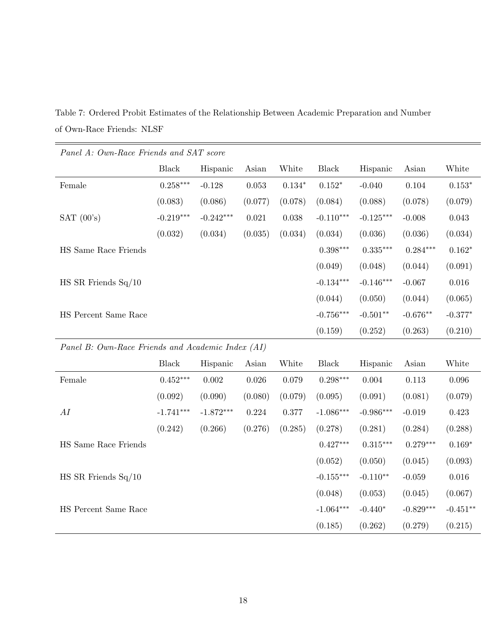Table 7: Ordered Probit Estimates of the Relationship Between Academic Preparation and Number of Own-Race Friends: NLSF

| Panel A: Own-Race Frienas and SA1 score           |              |             |             |           |              |             |             |                |
|---------------------------------------------------|--------------|-------------|-------------|-----------|--------------|-------------|-------------|----------------|
|                                                   | <b>Black</b> | Hispanic    | Asian       | White     | <b>Black</b> | Hispanic    | Asian       | White          |
| Female                                            | $0.258***$   | $-0.128$    | $\,0.053\,$ | $0.134*$  | $0.152*$     | $-0.040$    | 0.104       | $0.153*$       |
|                                                   | (0.083)      | (0.086)     | (0.077)     | (0.078)   | (0.084)      | (0.088)     | (0.078)     | (0.079)        |
| SAT $(00's)$                                      | $-0.219***$  | $-0.242***$ | 0.021       | 0.038     | $-0.110***$  | $-0.125***$ | $-0.008$    | 0.043          |
|                                                   | (0.032)      | (0.034)     | (0.035)     | (0.034)   | (0.034)      | (0.036)     | (0.036)     | (0.034)        |
| HS Same Race Friends                              |              |             |             |           | $0.398***$   | $0.335***$  | $0.284***$  | $0.162^{\ast}$ |
|                                                   |              |             |             |           | (0.049)      | (0.048)     | (0.044)     | (0.091)        |
| $HS SR$ Friends $Sq/10$                           |              |             |             |           | $-0.134***$  | $-0.146***$ | $-0.067$    | $0.016\,$      |
|                                                   |              |             |             |           | (0.044)      | (0.050)     | (0.044)     | (0.065)        |
| HS Percent Same Race                              |              |             |             |           | $-0.756***$  | $-0.501**$  | $-0.676**$  | $-0.377*$      |
|                                                   |              |             |             |           | (0.159)      | (0.252)     | (0.263)     | (0.210)        |
|                                                   |              |             |             |           |              |             |             |                |
| Panel B: Own-Race Friends and Academic Index (AI) |              |             |             |           |              |             |             |                |
|                                                   | <b>Black</b> | Hispanic    | Asian       | White     | Black        | Hispanic    | Asian       | White          |
| Female                                            | $0.452***$   | 0.002       | $0.026\,$   | 0.079     | $0.298***$   | 0.004       | $0.113\,$   | 0.096          |
|                                                   | (0.092)      | (0.090)     | (0.080)     | (0.079)   | (0.095)      | (0.091)     | (0.081)     | (0.079)        |
| ${\cal A}{\cal I}$                                | $-1.741***$  | $-1.872***$ | 0.224       | $0.377\,$ | $-1.086***$  | $-0.986***$ | $-0.019$    | 0.423          |
|                                                   | (0.242)      | (0.266)     | (0.276)     | (0.285)   | (0.278)      | (0.281)     | (0.284)     | (0.288)        |
| HS Same Race Friends                              |              |             |             |           | $0.427***$   | $0.315***$  | $0.279***$  | $0.169*$       |
|                                                   |              |             |             |           | (0.052)      | (0.050)     | (0.045)     | (0.093)        |
| HS SR Friends $Sq/10$                             |              |             |             |           | $-0.155***$  | $-0.110**$  | $-0.059$    | $0.016\,$      |
|                                                   |              |             |             |           | (0.048)      | (0.053)     | (0.045)     | (0.067)        |
| HS Percent Same Race                              |              |             |             |           | $-1.064***$  | $-0.440*$   | $-0.829***$ | $-0.451**$     |

 $P$ anel  $A \cdot Q$ wn-Race Friends and  $SAT$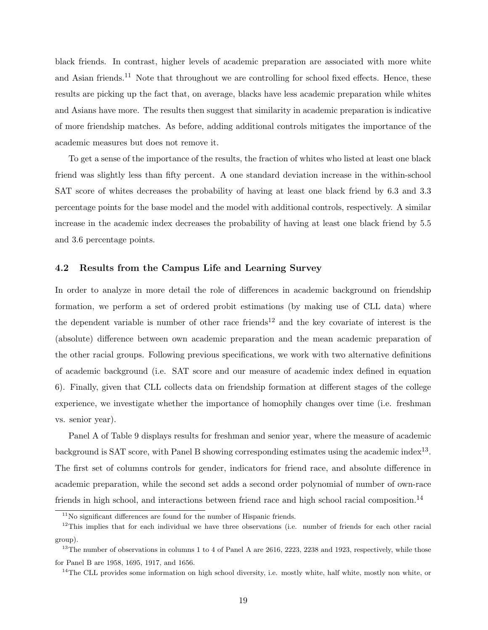black friends. In contrast, higher levels of academic preparation are associated with more white and Asian friends.<sup>11</sup> Note that throughout we are controlling for school fixed effects. Hence, these results are picking up the fact that, on average, blacks have less academic preparation while whites and Asians have more. The results then suggest that similarity in academic preparation is indicative of more friendship matches. As before, adding additional controls mitigates the importance of the academic measures but does not remove it.

To get a sense of the importance of the results, the fraction of whites who listed at least one black friend was slightly less than fifty percent. A one standard deviation increase in the within-school SAT score of whites decreases the probability of having at least one black friend by 6.3 and 3.3 percentage points for the base model and the model with additional controls, respectively. A similar increase in the academic index decreases the probability of having at least one black friend by 5.5 and 3.6 percentage points.

#### 4.2 Results from the Campus Life and Learning Survey

In order to analyze in more detail the role of differences in academic background on friendship formation, we perform a set of ordered probit estimations (by making use of CLL data) where the dependent variable is number of other race friends<sup>12</sup> and the key covariate of interest is the (absolute) difference between own academic preparation and the mean academic preparation of the other racial groups. Following previous specifications, we work with two alternative definitions of academic background (i.e. SAT score and our measure of academic index defined in equation 6). Finally, given that CLL collects data on friendship formation at different stages of the college experience, we investigate whether the importance of homophily changes over time (i.e. freshman vs. senior year).

Panel A of Table 9 displays results for freshman and senior year, where the measure of academic background is SAT score, with Panel B showing corresponding estimates using the academic index<sup>13</sup>. The first set of columns controls for gender, indicators for friend race, and absolute difference in academic preparation, while the second set adds a second order polynomial of number of own-race friends in high school, and interactions between friend race and high school racial composition.<sup>14</sup>

<sup>&</sup>lt;sup>11</sup>No significant differences are found for the number of Hispanic friends.

 $12$ This implies that for each individual we have three observations (i.e. number of friends for each other racial group).

<sup>&</sup>lt;sup>13</sup>The number of observations in columns 1 to 4 of Panel A are 2616, 2223, 2238 and 1923, respectively, while those for Panel B are 1958, 1695, 1917, and 1656.

<sup>&</sup>lt;sup>14</sup>The CLL provides some information on high school diversity, i.e. mostly white, half white, mostly non white, or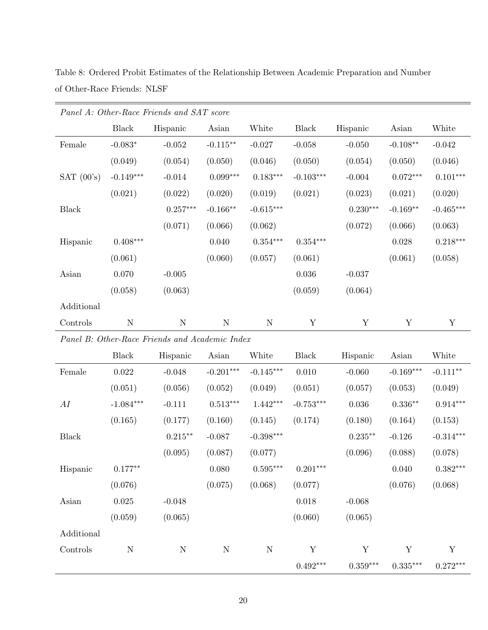|                    |              | Panel A: Other-Race Friends and SAT score      |             |             |              |             |             |             |
|--------------------|--------------|------------------------------------------------|-------------|-------------|--------------|-------------|-------------|-------------|
|                    | Black        | Hispanic                                       | Asian       | White       | <b>Black</b> | Hispanic    | Asian       | White       |
| Female             | $-0.083*$    | $-0.052$                                       | $-0.115***$ | $-0.027$    | $-0.058$     | $-0.050$    | $-0.108**$  | $-0.042$    |
|                    | (0.049)      | (0.054)                                        | (0.050)     | (0.046)     | (0.050)      | (0.054)     | (0.050)     | (0.046)     |
| SAT $(00's)$       | $-0.149***$  | $-0.014$                                       | $0.099***$  | $0.183***$  | $-0.103***$  | $-0.004$    | $0.072***$  | $0.101***$  |
|                    | (0.021)      | (0.022)                                        | (0.020)     | (0.019)     | (0.021)      | (0.023)     | (0.021)     | (0.020)     |
| Black              |              | $0.257***$                                     | $-0.166**$  | $-0.615***$ |              | $0.230***$  | $-0.169**$  | $-0.465***$ |
|                    |              | (0.071)                                        | (0.066)     | (0.062)     |              | (0.072)     | (0.066)     | (0.063)     |
| Hispanic           | $0.408***$   |                                                | 0.040       | $0.354***$  | $0.354***$   |             | 0.028       | $0.218***$  |
|                    | (0.061)      |                                                | (0.060)     | (0.057)     | (0.061)      |             | (0.061)     | (0.058)     |
| Asian              | 0.070        | $-0.005$                                       |             |             | 0.036        | $-0.037$    |             |             |
|                    | (0.058)      | (0.063)                                        |             |             | (0.059)      | (0.064)     |             |             |
| Additional         |              |                                                |             |             |              |             |             |             |
| Controls           | ${\bf N}$    | ${\bf N}$                                      | ${\rm N}$   | $\mathbf N$ | Y            | $\mathbf Y$ | Y           | $\mathbf Y$ |
|                    |              | Panel B: Other-Race Friends and Academic Index |             |             |              |             |             |             |
|                    | <b>Black</b> | Hispanic                                       | Asian       | White       | <b>Black</b> | Hispanic    | Asian       | White       |
| Female             | $0.022\,$    | $-0.048$                                       | $-0.201***$ | $-0.145***$ | 0.010        | $-0.060$    | $-0.169***$ | $-0.111**$  |
|                    | (0.051)      | (0.056)                                        | (0.052)     | (0.049)     | (0.051)      | (0.057)     | (0.053)     | (0.049)     |
| ${\cal A}{\cal I}$ | $-1.084***$  | $-0.111$                                       | $0.513***$  | $1.442***$  | $-0.753***$  | 0.036       | $0.336**$   | $0.914***$  |
|                    | (0.165)      | (0.177)                                        | (0.160)     | (0.145)     | (0.174)      | (0.180)     | (0.164)     | (0.153)     |
| <b>Black</b>       |              | $0.215***$                                     | $-0.087$    | $-0.398***$ |              | $0.235**$   | $-0.126$    | $-0.314***$ |
|                    |              | (0.095)                                        | (0.087)     | (0.077)     |              | (0.096)     | (0.088)     | (0.078)     |
| Hispanic           | $0.177**$    |                                                | $0.080\,$   | $0.595***$  | $0.201***$   |             | 0.040       | $0.382***$  |
|                    | (0.076)      |                                                | (0.075)     | (0.068)     | (0.077)      |             | (0.076)     | (0.068)     |
| Asian              | $0.025\,$    | $-0.048$                                       |             |             | $0.018\,$    | $-0.068$    |             |             |
|                    | (0.059)      | (0.065)                                        |             |             | (0.060)      | (0.065)     |             |             |
| Additional         |              |                                                |             |             |              |             |             |             |
| Controls           | ${\bf N}$    | $\mathbf N$                                    | $\mathbf N$ | $\mathbf N$ | $\mathbf Y$  | $\mathbf Y$ | Y           | Y           |
|                    |              |                                                |             |             | $0.492***$   | $0.359***$  | $0.335***$  | $0.272***$  |

Table 8: Ordered Probit Estimates of the Relationship Between Academic Preparation and Number of Other-Race Friends: NLSF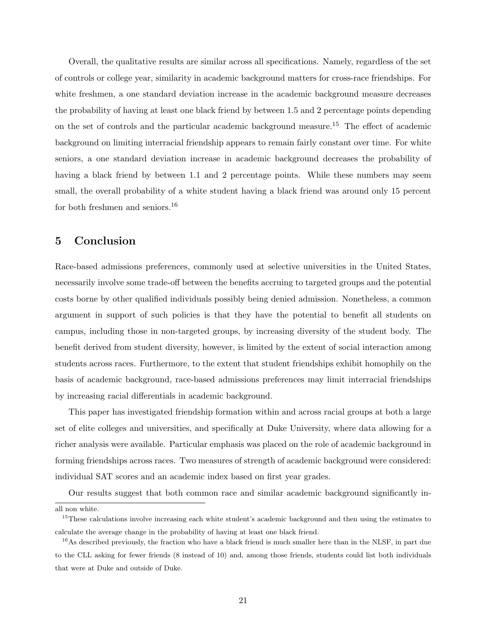Overall, the qualitative results are similar across all specifications. Namely, regardless of the set of controls or college year, similarity in academic background matters for cross-race friendships. For white freshmen, a one standard deviation increase in the academic background measure decreases the probability of having at least one black friend by between 1.5 and 2 percentage points depending on the set of controls and the particular academic background measure.<sup>15</sup> The effect of academic background on limiting interracial friendship appears to remain fairly constant over time. For white seniors, a one standard deviation increase in academic background decreases the probability of having a black friend by between 1.1 and 2 percentage points. While these numbers may seem small, the overall probability of a white student having a black friend was around only 15 percent for both freshmen and seniors.<sup>16</sup>

## 5 Conclusion

Race-based admissions preferences, commonly used at selective universities in the United States, necessarily involve some trade-off between the benefits accruing to targeted groups and the potential costs borne by other qualified individuals possibly being denied admission. Nonetheless, a common argument in support of such policies is that they have the potential to benefit all students on campus, including those in non-targeted groups, by increasing diversity of the student body. The benefit derived from student diversity, however, is limited by the extent of social interaction among students across races. Furthermore, to the extent that student friendships exhibit homophily on the basis of academic background, race-based admissions preferences may limit interracial friendships by increasing racial differentials in academic background.

This paper has investigated friendship formation within and across racial groups at both a large set of elite colleges and universities, and specifically at Duke University, where data allowing for a richer analysis were available. Particular emphasis was placed on the role of academic background in forming friendships across races. Two measures of strength of academic background were considered: individual SAT scores and an academic index based on first year grades.

Our results suggest that both common race and similar academic background significantly in-

all non white.

<sup>&</sup>lt;sup>15</sup>These calculations involve increasing each white student's academic background and then using the estimates to calculate the average change in the probability of having at least one black friend.

<sup>&</sup>lt;sup>16</sup>As described previously, the fraction who have a black friend is much smaller here than in the NLSF, in part due to the CLL asking for fewer friends (8 instead of 10) and, among those friends, students could list both individuals that were at Duke and outside of Duke.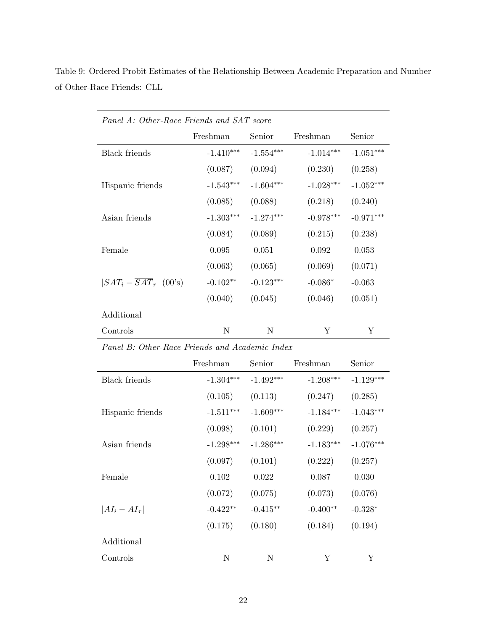| Panel A: Other-Race Friends and SAT score |             |             |             |             |
|-------------------------------------------|-------------|-------------|-------------|-------------|
|                                           | Freshman    | Senior      | Freshman    | Senior      |
| <b>Black</b> friends                      | $-1.410***$ | $-1.554***$ | $-1.014***$ | $-1.051***$ |
|                                           | (0.087)     | (0.094)     | (0.230)     | (0.258)     |
| Hispanic friends                          | $-1.543***$ | $-1.604***$ | $-1.028***$ | $-1.052***$ |
|                                           | (0.085)     | (0.088)     | (0.218)     | (0.240)     |
| Asian friends                             | $-1.303***$ | $-1.274***$ | $-0.978***$ | $-0.971***$ |
|                                           | (0.084)     | (0.089)     | (0.215)     | (0.238)     |
| Female                                    | 0.095       | 0.051       | 0.092       | 0.053       |
|                                           | (0.063)     | (0.065)     | (0.069)     | (0.071)     |
| $ SAT_i - SAT_r $ (00's)                  | $-0.102**$  | $-0.123***$ | $-0.086*$   | $-0.063$    |
|                                           | (0.040)     | (0.045)     | (0.046)     | (0.051)     |
| Additional                                |             |             |             |             |
| Controls                                  | N           | N           | Y           | Y           |

Table 9: Ordered Probit Estimates of the Relationship Between Academic Preparation and Number of Other-Race Friends: CLL

|                            | Freshman    | Senior      | Freshman    | Senior      |
|----------------------------|-------------|-------------|-------------|-------------|
| <b>Black friends</b>       | $-1.304***$ | $-1.492***$ | $-1.208***$ | $-1.129***$ |
|                            | (0.105)     | (0.113)     | (0.247)     | (0.285)     |
| Hispanic friends           | $-1.511***$ | $-1.609***$ | $-1.184***$ | $-1.043***$ |
|                            | (0.098)     | (0.101)     | (0.229)     | (0.257)     |
| Asian friends              | $-1.298***$ | $-1.286***$ | $-1.183***$ | $-1.076***$ |
|                            | (0.097)     | (0.101)     | (0.222)     | (0.257)     |
| Female                     | 0.102       | 0.022       | 0.087       | 0.030       |
|                            | (0.072)     | (0.075)     | (0.073)     | (0.076)     |
| $ AI_i - \overline{AI}_r $ | $-0.422**$  | $-0.415**$  | $-0.400**$  | $-0.328*$   |
|                            | (0.175)     | (0.180)     | (0.184)     | (0.194)     |
| Additional                 |             |             |             |             |
| Controls                   | N           | Ν           | Y           | Y           |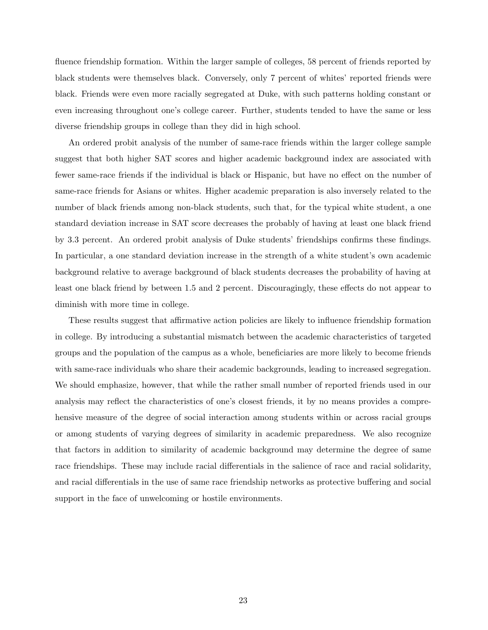fluence friendship formation. Within the larger sample of colleges, 58 percent of friends reported by black students were themselves black. Conversely, only 7 percent of whites' reported friends were black. Friends were even more racially segregated at Duke, with such patterns holding constant or even increasing throughout one's college career. Further, students tended to have the same or less diverse friendship groups in college than they did in high school.

An ordered probit analysis of the number of same-race friends within the larger college sample suggest that both higher SAT scores and higher academic background index are associated with fewer same-race friends if the individual is black or Hispanic, but have no effect on the number of same-race friends for Asians or whites. Higher academic preparation is also inversely related to the number of black friends among non-black students, such that, for the typical white student, a one standard deviation increase in SAT score decreases the probably of having at least one black friend by 3.3 percent. An ordered probit analysis of Duke students' friendships confirms these findings. In particular, a one standard deviation increase in the strength of a white student's own academic background relative to average background of black students decreases the probability of having at least one black friend by between 1.5 and 2 percent. Discouragingly, these effects do not appear to diminish with more time in college.

These results suggest that affirmative action policies are likely to influence friendship formation in college. By introducing a substantial mismatch between the academic characteristics of targeted groups and the population of the campus as a whole, beneficiaries are more likely to become friends with same-race individuals who share their academic backgrounds, leading to increased segregation. We should emphasize, however, that while the rather small number of reported friends used in our analysis may reflect the characteristics of one's closest friends, it by no means provides a comprehensive measure of the degree of social interaction among students within or across racial groups or among students of varying degrees of similarity in academic preparedness. We also recognize that factors in addition to similarity of academic background may determine the degree of same race friendships. These may include racial differentials in the salience of race and racial solidarity, and racial differentials in the use of same race friendship networks as protective buffering and social support in the face of unwelcoming or hostile environments.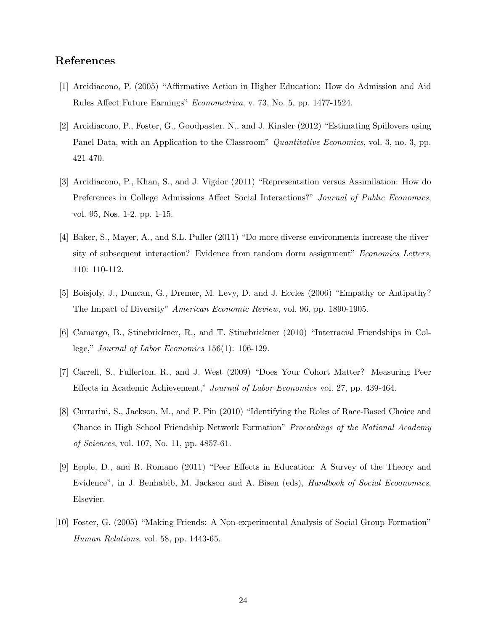## References

- [1] Arcidiacono, P. (2005) "Affirmative Action in Higher Education: How do Admission and Aid Rules Affect Future Earnings" Econometrica, v. 73, No. 5, pp. 1477-1524.
- [2] Arcidiacono, P., Foster, G., Goodpaster, N., and J. Kinsler (2012) "Estimating Spillovers using Panel Data, with an Application to the Classroom" *Quantitative Economics*, vol. 3, no. 3, pp. 421-470.
- [3] Arcidiacono, P., Khan, S., and J. Vigdor (2011) "Representation versus Assimilation: How do Preferences in College Admissions Affect Social Interactions?" Journal of Public Economics, vol. 95, Nos. 1-2, pp. 1-15.
- [4] Baker, S., Mayer, A., and S.L. Puller (2011) "Do more diverse environments increase the diversity of subsequent interaction? Evidence from random dorm assignment" Economics Letters, 110: 110-112.
- [5] Boisjoly, J., Duncan, G., Dremer, M. Levy, D. and J. Eccles (2006) "Empathy or Antipathy? The Impact of Diversity" American Economic Review, vol. 96, pp. 1890-1905.
- [6] Camargo, B., Stinebrickner, R., and T. Stinebrickner (2010) "Interracial Friendships in College," Journal of Labor Economics 156(1): 106-129.
- [7] Carrell, S., Fullerton, R., and J. West (2009) "Does Your Cohort Matter? Measuring Peer Effects in Academic Achievement," Journal of Labor Economics vol. 27, pp. 439-464.
- [8] Currarini, S., Jackson, M., and P. Pin (2010) "Identifying the Roles of Race-Based Choice and Chance in High School Friendship Network Formation" Proceedings of the National Academy of Sciences, vol. 107, No. 11, pp. 4857-61.
- [9] Epple, D., and R. Romano (2011) "Peer Effects in Education: A Survey of the Theory and Evidence", in J. Benhabib, M. Jackson and A. Bisen (eds), *Handbook of Social Ecoonomics*, Elsevier.
- [10] Foster, G. (2005) "Making Friends: A Non-experimental Analysis of Social Group Formation" Human Relations, vol. 58, pp. 1443-65.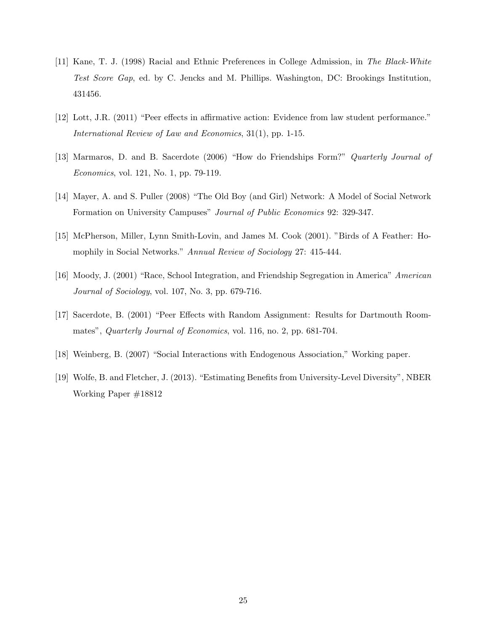- [11] Kane, T. J. (1998) Racial and Ethnic Preferences in College Admission, in The Black-White Test Score Gap, ed. by C. Jencks and M. Phillips. Washington, DC: Brookings Institution, 431456.
- [12] Lott, J.R. (2011) "Peer effects in affirmative action: Evidence from law student performance." International Review of Law and Economics, 31(1), pp. 1-15.
- [13] Marmaros, D. and B. Sacerdote (2006) "How do Friendships Form?" Quarterly Journal of Economics, vol. 121, No. 1, pp. 79-119.
- [14] Mayer, A. and S. Puller (2008) "The Old Boy (and Girl) Network: A Model of Social Network Formation on University Campuses" Journal of Public Economics 92: 329-347.
- [15] McPherson, Miller, Lynn Smith-Lovin, and James M. Cook (2001). "Birds of A Feather: Homophily in Social Networks." Annual Review of Sociology 27: 415-444.
- [16] Moody, J. (2001) "Race, School Integration, and Friendship Segregation in America" American Journal of Sociology, vol. 107, No. 3, pp. 679-716.
- [17] Sacerdote, B. (2001) "Peer Effects with Random Assignment: Results for Dartmouth Roommates", *Quarterly Journal of Economics*, vol. 116, no. 2, pp. 681-704.
- [18] Weinberg, B. (2007) "Social Interactions with Endogenous Association," Working paper.
- [19] Wolfe, B. and Fletcher, J. (2013). "Estimating Benefits from University-Level Diversity", NBER Working Paper #18812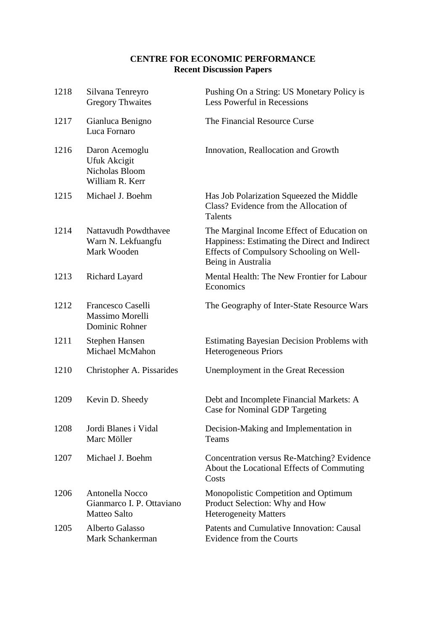## **CENTRE FOR ECONOMIC PERFORMANCE Recent Discussion Papers**

| 1218 | Silvana Tenreyro<br><b>Gregory Thwaites</b>                                | Pushing On a String: US Monetary Policy is<br>Less Powerful in Recessions                                                                                     |
|------|----------------------------------------------------------------------------|---------------------------------------------------------------------------------------------------------------------------------------------------------------|
| 1217 | Gianluca Benigno<br>Luca Fornaro                                           | The Financial Resource Curse                                                                                                                                  |
| 1216 | Daron Acemoglu<br>Ufuk Akcigit<br><b>Nicholas Bloom</b><br>William R. Kerr | Innovation, Reallocation and Growth                                                                                                                           |
| 1215 | Michael J. Boehm                                                           | Has Job Polarization Squeezed the Middle<br>Class? Evidence from the Allocation of<br>Talents                                                                 |
| 1214 | <b>Nattavudh Powdthavee</b><br>Warn N. Lekfuangfu<br>Mark Wooden           | The Marginal Income Effect of Education on<br>Happiness: Estimating the Direct and Indirect<br>Effects of Compulsory Schooling on Well-<br>Being in Australia |
| 1213 | Richard Layard                                                             | Mental Health: The New Frontier for Labour<br>Economics                                                                                                       |
| 1212 | Francesco Caselli<br>Massimo Morelli<br>Dominic Rohner                     | The Geography of Inter-State Resource Wars                                                                                                                    |
| 1211 | Stephen Hansen<br>Michael McMahon                                          | <b>Estimating Bayesian Decision Problems with</b><br><b>Heterogeneous Priors</b>                                                                              |
| 1210 | Christopher A. Pissarides                                                  | Unemployment in the Great Recession                                                                                                                           |
| 1209 | Kevin D. Sheedy                                                            | Debt and Incomplete Financial Markets: A<br><b>Case for Nominal GDP Targeting</b>                                                                             |
| 1208 | Jordi Blanes i Vidal<br>Marc Möller                                        | Decision-Making and Implementation in<br>Teams                                                                                                                |
| 1207 | Michael J. Boehm                                                           | Concentration versus Re-Matching? Evidence<br>About the Locational Effects of Commuting<br>Costs                                                              |
| 1206 | Antonella Nocco<br>Gianmarco I. P. Ottaviano<br><b>Matteo Salto</b>        | Monopolistic Competition and Optimum<br>Product Selection: Why and How<br><b>Heterogeneity Matters</b>                                                        |
| 1205 | Alberto Galasso<br>Mark Schankerman                                        | Patents and Cumulative Innovation: Causal<br>Evidence from the Courts                                                                                         |